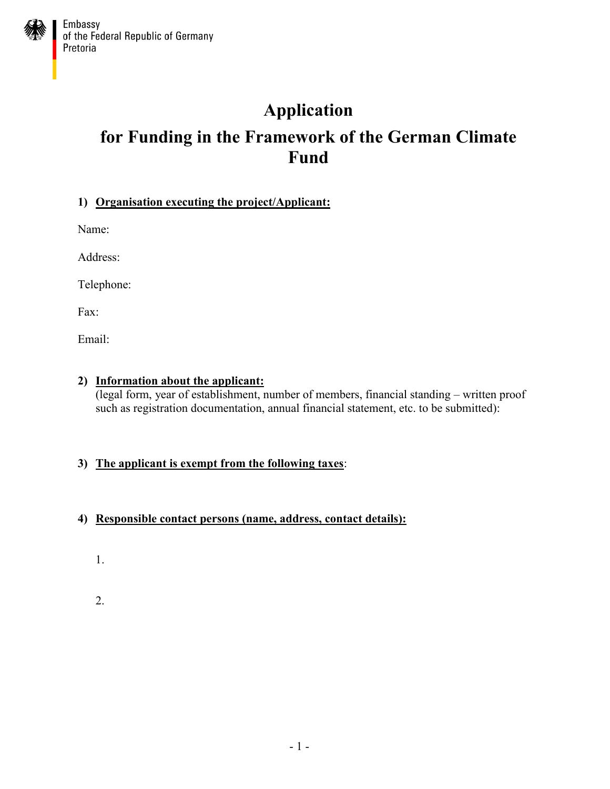## **Application**

# **for Funding in the Framework of the German Climate Fund**

## **1) Organisation executing the project/Applicant:**

Name:

Address:

Telephone:

Fax:

Email:

#### **2) Information about the applicant:**

(legal form, year of establishment, number of members, financial standing – written proof such as registration documentation, annual financial statement, etc. to be submitted):

## **3) The applicant is exempt from the following taxes**:

## **4) Responsible contact persons (name, address, contact details):**

1.

2.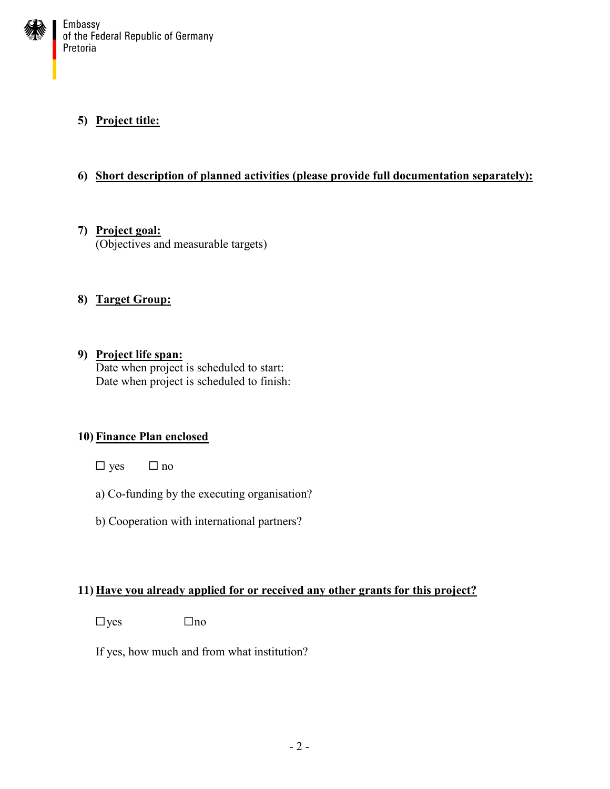

## **5) Project title:**

## **6) Short description of planned activities (please provide full documentation separately):**

**7) Project goal:** (Objectives and measurable targets)

#### **8) Target Group:**

**9) Project life span:** Date when project is scheduled to start: Date when project is scheduled to finish:

#### **10) Finance Plan enclosed**

- $\square$  yes  $\square$  no
- a) Co-funding by the executing organisation?
- b) Cooperation with international partners?

#### **11) Have you already applied for or received any other grants for this project?**

 $\Box$ yes  $\Box$ no

If yes, how much and from what institution?